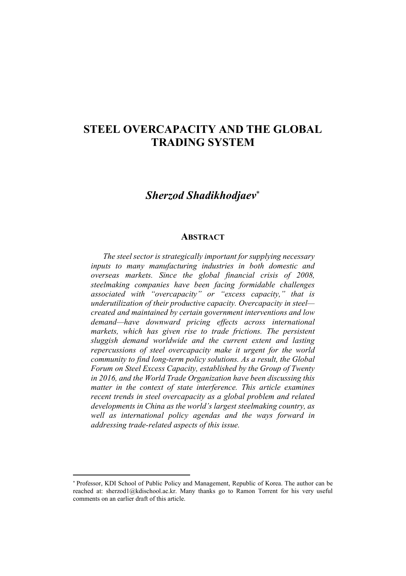## STEEL OVERCAPACITY AND THE GLOBAL TRADING SYSTEM

## *Sherzod Shadikhodjaev*

## **ABSTRACT**

*The steel sector is strategically important for supplying necessary inputs to many manufacturing industries in both domestic and overseas markets. Since the global financial crisis of 2008, steelmaking companies have been facing formidable challenges associated with "overcapacity" or "excess capacity," that is underutilization of their productive capacity. Overcapacity in steel created and maintained by certain government interventions and low demand—have downward pricing effects across international markets, which has given rise to trade frictions. The persistent sluggish demand worldwide and the current extent and lasting repercussions of steel overcapacity make it urgent for the world community to find long-term policy solutions. As a result, the Global Forum on Steel Excess Capacity, established by the Group of Twenty in 2016, and the World Trade Organization have been discussing this matter in the context of state interference. This article examines recent trends in steel overcapacity as a global problem and related developments in China as the world's largest steelmaking country, as well as international policy agendas and the ways forward in addressing trade-related aspects of this issue.* 

 $\overline{a}$ 

Professor, KDI School of Public Policy and Management, Republic of Korea. The author can be reached at: sherzod1@kdischool.ac.kr. Many thanks go to Ramon Torrent for his very useful comments on an earlier draft of this article.